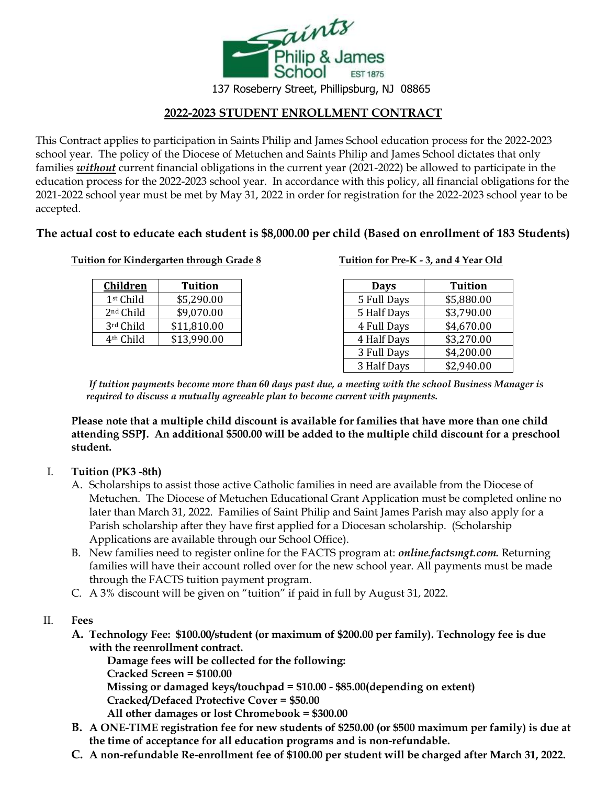

**2022-2023 STUDENT ENROLLMENT CONTRACT** 

This Contract applies to participation in Saints Philip and James School education process for the 2022-2023 school year. The policy of the Diocese of Metuchen and Saints Philip and James School dictates that only families *without* current financial obligations in the current year (2021-2022) be allowed to participate in the education process for the 2022-2023 school year. In accordance with this policy, all financial obligations for the 2021-2022 school year must be met by May 31, 2022 in order for registration for the 2022-2023 school year to be accepted.

# **The actual cost to educate each student is \$8,000.00 per child (Based on enrollment of 183 Students)**

### **Tuition for Kindergarten through Grade 8 Tuition for Pre-K - 3, and 4 Year Old**

| <u>Children</u>       | <b>Tuition</b> |
|-----------------------|----------------|
| 1st Child             | \$5,290.00     |
| 2 <sup>nd</sup> Child | \$9,070.00     |
| 3rd Child             | \$11,810.00    |
| 4 <sup>th</sup> Child | \$13,990.00    |

| <b>Children</b>       | <b>Tuition</b> | <b>Days</b> | <b>Tuition</b> |
|-----------------------|----------------|-------------|----------------|
| 1st Child             | \$5,290.00     | 5 Full Days | \$5,880.00     |
| 2 <sup>nd</sup> Child | \$9,070.00     | 5 Half Days | \$3,790.00     |
| 3rd Child             | \$11,810.00    | 4 Full Days | \$4,670.00     |
| 4 <sup>th</sup> Child | \$13,990.00    | 4 Half Days | \$3,270.00     |
|                       |                | 3 Full Days | \$4,200.00     |
|                       |                | 3 Half Days | \$2,940.00     |

*If tuition payments become more than 60 days past due, a meeting with the school Business Manager is required to discuss a mutually agreeable plan to become current with payments.*

**Please note that a multiple child discount is available for families that have more than one child attending SSPJ. An additional \$500.00 will be added to the multiple child discount for a preschool student.**

## I. **Tuition (PK3 -8th)**

- A. Scholarships to assist those active Catholic families in need are available from the Diocese of Metuchen. The Diocese of Metuchen Educational Grant Application must be completed online no later than March 31, 2022. Families of Saint Philip and Saint James Parish may also apply for a Parish scholarship after they have first applied for a Diocesan scholarship. (Scholarship Applications are available through our School Office).
- B. New families need to register online for the FACTS program at: *online.factsmgt.com.* Returning families will have their account rolled over for the new school year. All payments must be made through the FACTS tuition payment program.
- C. A 3% discount will be given on "tuition" if paid in full by August 31, 2022.

#### II. **Fees**

**A. Technology Fee: \$100.00/student (or maximum of \$200.00 per family). Technology fee is due with the reenrollment contract.**

**Damage fees will be collected for the following: Cracked Screen = \$100.00 Missing or damaged keys/touchpad = \$10.00 - \$85.00(depending on extent) Cracked/Defaced Protective Cover = \$50.00 All other damages or lost Chromebook = \$300.00**

- **B. A ONE-TIME registration fee for new students of \$250.00 (or \$500 maximum per family) is due at the time of acceptance for all education programs and is non-refundable.**
- **C. A non-refundable Re-enrollment fee of \$100.00 per student will be charged after March 31, 2022.**